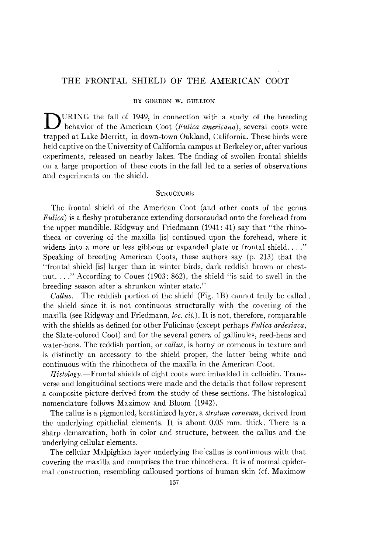# **THE FRONTAL SHIELD OF THE AMERICAN COOT**

### **BY GORDON W. GULLION**

**n URIKG the fall of 1949, in connection with a study of the breeding**  behavior of the American Coot (Fulica americana), several coots were **trapped at Lake Merritt, in down-town Oakland, California. These birds were held captive on the University of California campus at Berkeley or, after various experiments, released on nearby lakes. The finding of swollen frontal shields on a large proportion of these coots in the fall led to a series of observations and experiments on the shield.** 

### **STRUCTURE**

**The frontal shield of the American Coot (and other coots of the genus Fulica) is a fleshy protuberance extending dorsocaudad onto the forehead from the upper mandible. Ridgway and Friedmann (1941: 41) say that "the rhinotheta or covering of the maxilla [is] continued upon the forehead, where it**  widens into a more or less gibbous or expanded plate or frontal shield. . . ." **Speaking of breeding American Coots, these authors say (p. 213) that the "frontal shield [is] larger than in winter birds, dark reddish brown or chestnut. . ." According to Coues (1903: 862), the shield "is said to swell in the breeding season after a shrunken winter state."** 

Callus.-The reddish portion of the shield (Fig. 1B) cannot truly be called. **the shield since it is not continuous structurally with the covering of the**  maxilla (see Ridgway and Friedmann, *loc. cit.*). It is not, therefore, comparable **with the shields as defined for other Fulicinae (except perhaps Fulica ardesiaca, the Slate-colored Coot) and for the several genera of gallinules, reed-hens and water-hens. The reddish portion, or callus, is horny or corneous in texture and is distinctly an accessory to the shield proper, the latter being white and continuous with the rhinotheca of the maxilla in the American Coot.** 

Histology.—Frontal shields of eight coots were imbedded in celloidin. Trans**verse and longitudinal sections were made and the details that follow represent a composite picture derived from the study of these sections. The histological nomenclature follows Maximow and Bloom (1942).** 

**The callus is a pigmented, keratinized layer, a stratum corneum, derived from the underlying epithelial elements. It is about 0.05 mm. thick. There is a sharp demarcation, both in color and structure, between the callus and the underlying cellular elements.** 

**The cellular Malpighian layer underlying the callus is continuous with that covering the maxilla and comprises the true rhinotheca. It is of normal epiderma1 construction, resembling calloused portions of human skin (cf. Maximow**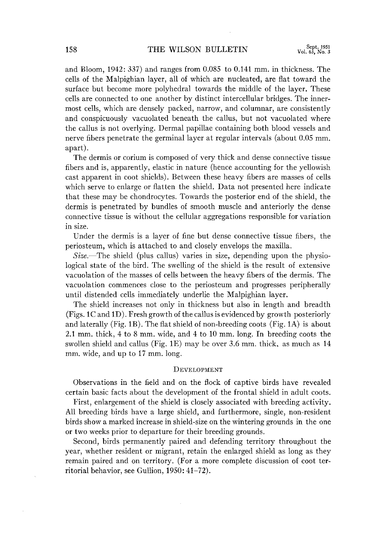**and Bloom, 1942: 337) and ranges from 0.085 to 0.141 mm. in thickness. The cells of the Malpighian layer, all of which are nucleated, are flat toward the surface but become more polyhedral towards the middle of the layer. These cells are connected to one another by distinct intercellular bridges. The innermost cells, which are densely packed, narrow, and columnar, are consistently and conspicuously vacuolated beneath the callus, but not vacuolated where the callus is not overlying. Dermal papillae containing both blood vessels and nerve fibers penetrate the germinal layer at regular intervals (about 0.05 mm. apart).** 

**The dermis or corium is composed of very thick and dense connective tissue fibers and is, apparently, elastic in nature (hence accounting for the yellowish cast apparent in coot shields). Between these heavy fibers are masses of cells which serve to enlarge or flatten the shield. Data not presented here indicate that these may be chondrocytes. Towards the posterior end of the shield, the dermis is penetrated by bundles of smooth muscle and anteriorly the dense connective tissue is without the cellular aggregations responsible for variation in size.** 

**Under the dermis is a layer of fine but dense connective tissue fibers, the periosteum, which is attached to and closely envelops the maxilla.** 

Size.—The shield (plus callus) varies in size, depending upon the physio**logical state of the bird. The swelling of the shield is the result of extensive vacuolation of the masses of cells between the heavy fibers of the dermis. The vacuolation commences close to the periosteum and progresses peripherally until distended cells immediately underlie the Malpighian layer.** 

**The shield increases not only in thickness but also in length and breadth (Figs. 1C and ID). Fresh growth of the callus is evidenced by growth posteriorly and laterally (Fig. IB). The flat shield of non-breeding coots (Fig. IA) is about 2.1 mm. thick, 4 to 8 mm. wide, and 4 to 10 mm. long. In breeding coots the swollen shield and callus (Fig. IE) may be over 3.6 mm. thick, as much as 14 mm. wide, and up to 17 mm. long.** 

### **DEVELOPMENT**

**Observations in the field and on the flock of captive birds have revealed certain basic facts about the development of the frontal shield in adult coots.** 

**First, enlargement of the shield is closely associated with breeding activity. All breeding birds have a large shield, and furthermore, single, non-resident birds show a marked increase in shield-size on the wintering grounds in the one or two weeks prior to departure for their breeding grounds.** 

**Second, birds permanently paired and defending territory throughout the year, whether resident or migrant, retain the enlarged shield as long as they remain paired and on territory. (For a more complete discussion of coot territorial behavior, see Gullion, 1950: 41-72).**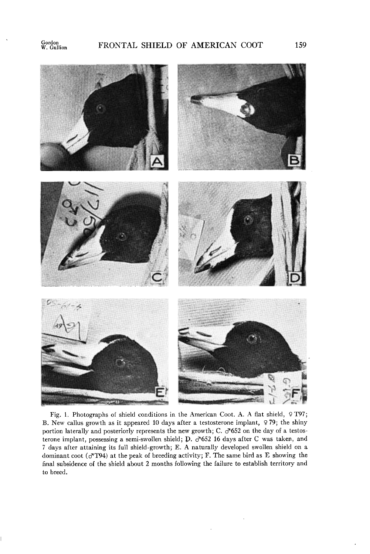

Fig. 1. Photographs of shield conditions in the American Coot. A. A flat shield,  $9$  T97; B. New callus growth as it appeared 10 days after a testosterone implant, 979; the shiny portion laterally and posteriorly represents the new growth; C.  $\sigma$ <sup>652</sup> on the day of a testosterone implant, possessing a semi-swollen shield; D. 3<sup>652</sup> 16 days after C was taken, and **7 days after attaining its full shield-growth; E. A naturally developed swollen shield on a**  dominant coot ( $\sigma$ T94) at the peak of breeding activity; F. The same bird as E showing the **final subsidence of the shield about 2 months following the failure to establish territory and to breed.**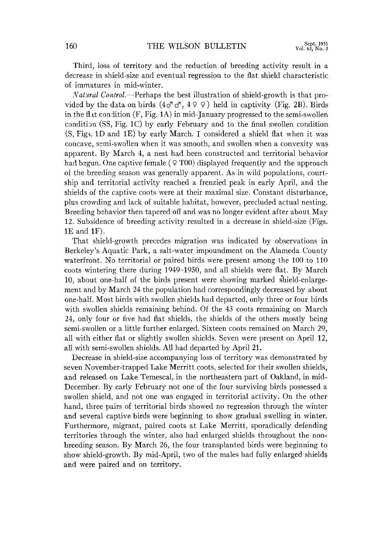**Third, loss of territory and the reduction of breeding activity result in a decrease in shield-size and eventual regression to the flat shield characteristic of immatures in mid-winter.** 

**Natural Control.-Perhaps the best illustration of shield-growth is that pro**vided by the data on birds  $(4\sigma \sigma, 4\varphi \varphi)$  held in captivity (Fig. 2B). Birds **in the flit condition (F, Fig. 1A) in mid-January progressed to the semi-swollen condition (SS, Fig. 1C) by early February and to the final swollen condition (S, Figs. 1D and 1E) by early March. I considered a shield flat when it was concave, semi-swollen when it was smooth, and swollen when a convexity was apparent. By March 4, a nest had been constructed and territorial behavior had begun. One captive female ( 9 TOO) displayed frequently and the approach of the breeding season was generally apparent. As in wild populations, courtship and territorial activity reached a frenzied peak in early April, and the shields of the captive coots were at their maximal size. Constant disturbance, plus crowding and lack of suitable habitat, however, precluded actual nesting. Breeding behavior then tapered off and was no longer evident after about May 12. Subsidence of breeding activity resulted in a decrease in shield-size (Figs. 1E and 1F).** 

**That shield-growth precedes migration was indicated by observations in**  Berkeley's Aquatic Park, a salt-water impoundment on the Alameda County **waterfront. No territorial or paired birds were present among the 100 to 110 coots wintering there during 1949-1950, and all shields were flat. By March 10, about one-half of the birds present were showing marked ihield-enlargement and by March 24 the population had correspondingly decreased by about one-half. Most birds with swollen shields had departed, only three or four birds with swollen shields remaining behind. Of the 43 coots remaining on March 24, only four or five had flat shields, the shields of the others mostly being semi-swollen or a little further enlarged. Sixteen coots remained on March 29, all with either flat or slightly swollen shields. Seven were present on April 12, all with semi-swollen shields. All had departed by April 21.** 

**Decrease in shield-size accompanying loss of territory was demonstrated by seven November-trapped Lake Merritt coots, selected for their swollen shields, and released on Lake Temescal, in the northeastern part of Oakland, in mid-December. By early February not one of the four surviving birds possessed a swollen shield, and not one was engaged in territorial activity. On the other hand, three pairs of territorial birds showed no regression through the winter and several captive birds were beginning to show gradual swelling in winter. Furthermore, migrant, paired coots at Lake Merritt, sporadically defending territories through the winter, also had enlarged shields throughout the nonbreeding season. By March 26, the four transplanted birds were beginning to show shield-growth. By mid-April, two of the males had fully enlarged shields and were paired and on territory.**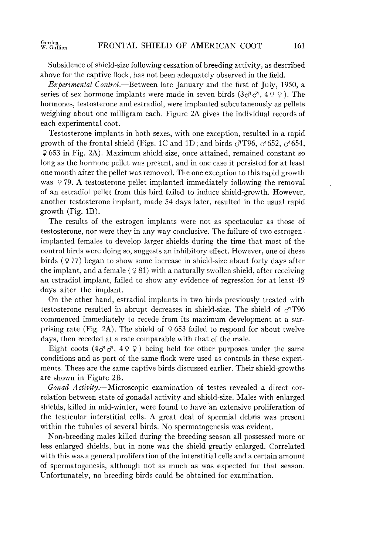**Gordon** 

**Subsidence of shield-size following cessation of breeding activity, as described above for the captive flock, has not been adequately observed in the field.** 

**Experimental Control.—Between late January and the first of July, 1950, a** series of sex hormone implants were made in seven birds  $(3\sigma \sigma, 49.9)$ . The **hormones, testosterone and estradiol, were implanted subcutaneously as pellets weighing about one milligram each. Figure 2A gives the individual records of each experimental coot.** 

**Testosterone implants in both sexes, with one exception, resulted in a rapid**  growth of the frontal shield (Figs. 1C and 1D; and birds  $\sigma$ T96,  $\sigma$ 652,  $\sigma$ 654, **9 6.53 in Fig. 2A). Maximum shield-size, once attained, remained constant so long as the hormone pellet was present, and in one case it persisted for at least one month after the pellet was removed. The one exception to this rapid growth**  was  $979$ . A testosterone pellet implanted immediately following the removal **of an estradiol pellet from this bird failed to induce shield-growth. However,, another testosterone implant, made 54 days later, resulted in the usual rapid growth (Fig. 1B).** 

**The results of the estrogen implants were not as spectacular as those of testosterone, nor were they in any way conclusive. The failure of two estrogenimplanted females to develop larger shields during the time that most of the control birds were doing so, suggests an inhibitory effect. However, one of these birds (9 77) began to show some increase in shield-size about forty days after**  the implant, and a female  $(981)$  with a naturally swollen shield, after receiving **an estradiol implant, failed to show any evidence of regression for at least 49 days after the implant.** 

**On the other hand, estradiol implants in two birds previously treated with**  testosterone resulted in abrupt decreases in shield-size. The shield of  $\sigma$ T96 **commenced immediately to recede from its maximum development at a sur**prising rate (Fig. 2A). The shield of  $\varphi$  653 failed to respond for about twelve **days, then receded at a rate comparable with that of the male.** 

Eight coots  $(4\sigma^2 \sigma^2, 4\circ \sigma^2)$  being held for other purposes under the same **conditions and as part of the same flock were used as controls in these experiments. These are the same captive birds discussed earlier. Their shield-growths are shown in Figure 2B.** 

Gonad Activity.-Microscopic examination of testes revealed a direct cor**relation between state of gonadal activity and shield-size. Males with enlarged shields, killed in mid-winter, were found to have an extensive proliferation of the testicular interstitial cells. A great deal of spermial debris was present within the tubules of several birds. No spermatogenesis was evident.** 

**Non-breeding males killed during the breeding season all possessed more or less enlarged shields, but in none was the shield greatly enlarged. Correlated with this was a general proliferation of the interstitial cells and a certain amount of spermatogenesis, although not as much as was expected for that season. Unfortunately, no breeding birds could be obtained for examination.**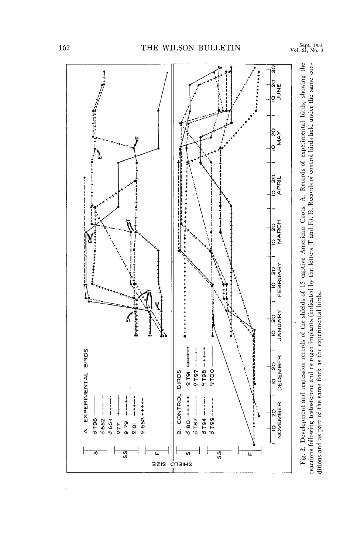



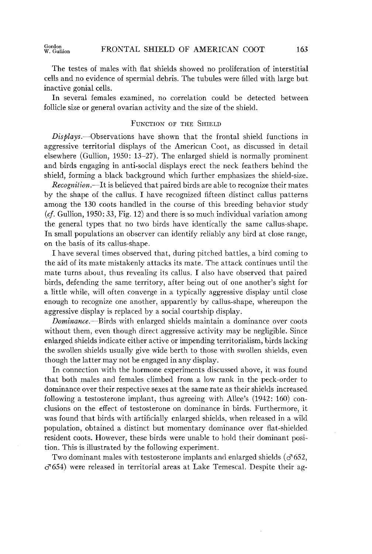**The testes of males with flat shields showed no proliferation of interstitial cells and no evidence of spermial debris. The tubules were filled with large but inactive gonial cells.** 

**In several females examined, no correlation could be detected between follicle size or general ovarian activity and the size of the shield.** 

## **FUNCTION OP THE SHIELD**

Displays.--Observations have shown that the frontal shield functions in **aggressive territorial displays of the American Coot, as discussed in detail elsewhere (Gullion, 1950: 13-27). The enlarged shield is normally prominent and birds engaging in anti-social displays erect the neck feathers behind the shield, forming a black background which further emphasizes the shield-size..** 

**Recognition.-It is believed that paired birds are able to recognize their mates by the shape of the callus. I have recognized fifteen distinct callus patterns among the 130 coots handled in the course of this breeding behavior study (cf. Gullion, 1950: 33, Fig. 12) and there is so much individual variation among the general types that no two birds have identically the same callus-shape. In small populations an observer can identify reliably any bird at close range, on the basis of its callus-shape.** 

**I have several times observed that, during pitched battles, a bird coming to the aid of its mate mistakenly attacks its mate. The attack continues until the mate turns about, thus revealing its callus. I also have observed that paired**  birds, defending the same territory, after being out of one another's sight for **a little while, will often converge in a typically aggressive display until close enough to recognize one another, apparently by callus-shape, whereupon the aggressive display is replaced by a social courtship display.** 

**Dominance.-Birds with enlarged shields maintain a dominance over coots without them, even though direct aggressive activity may be negligible. Since enlarged shields indicate either active or impending territorialism, birds lacking the swollen shields usually give wide berth to those with swollen shields, even though the latter may not be engaged in any display.** 

**In connection with the hormone experiments discussed above, it was found that both males and females climbed from a low rank in the peck-order to dominance over their respective sexes at the same rate as their shields increased**  following a testosterone implant, thus agreeing with Allee's (1942: 160) con**clusions on the effect of testosterone on dominance in birds. Furthermore, it was found that birds with artificially enlarged shields, when released in a wild population, obtained a distinct but momentary dominance over flat-shielded resident coots. However, these birds were unable to hold their dominant position. This is illustrated by the following experiment.** 

Two dominant males with testosterone implants and enlarged shields ( $\sigma$ <sup>652</sup>, **86.54) were released in territorial areas at Lake Temescal. Despite their ag-**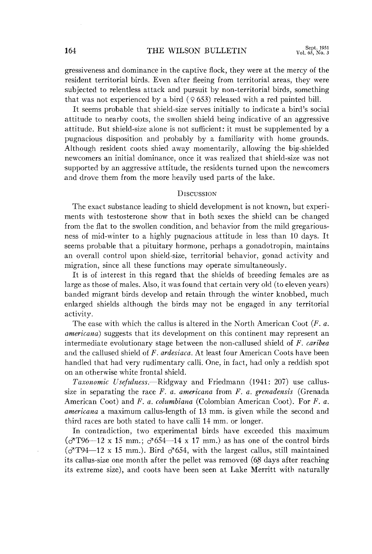**gressiveness and dominance in the captive flock, they were at the mercy of the resident territorial birds. Even after fleeing from territorial areas, they were subjected to relentless attack and pursuit by non-territorial birds, something**  that was not experienced by a bird  $(9653)$  released with a red painted bill.

It seems probable that shield-size serves initially to indicate a bird's social **attitude to nearby coots, the swollen shield being indicative of an aggressive attitude. But shield-size alone is not sufficient: it must be supplemented by a pugnacious disposition and probably by a familiarity with home grounds. Although resident coots shied away momentarily, allowing the big-shielded newcomers an initial dominance, once it was realized that shield-size was not supported by an aggressive attitude, the residents turned upon the newcomers and drove them from the more heavily used parts of the lake.** 

#### **DISCUSSION**

**The exact substance leading to shield development is not known, but experiments with testosterone show that in both sexes the shield can be changed from the flat to the swollen condition, and behavior from the mild gregariousness of mid-winter to a highly pugnacious attitude in less than 10 days. It seems probable that a pituitary hormone, perhaps a gonadotropin, maintains an overall control upon shield-size, territorial behavior, gonad activity and migration, since all these functions may operate simultaneously.** 

**It is of interest in this regard that the shields of breeding females are as large as those of males. Also, it was found that certain very old (to eleven years) banded migrant birds develop and retain through the winter knobbed, much enlarged shields although the birds may not be engaged in any territorial activity.** 

**The ease with which the callus is altered in the North American Coot (F. a. americana) suggests that its development on this continent may represent an intermediate evolutionary stage between the non-callused shield of F. curibeu**  and the callused shield of F. ardesiaca. At least four American Coots have been **handled that had very rudimentary calli. One, in fact, had only a reddish spot on an otherwise white frontal shield.** 

Taxonomic Usefulness.—Ridgway and Friedmann (1941: 207) use callussize in separating the race  $F.$  a. americana from  $F.$  a. grenadensis (Grenada American Coot) and F. a. columbiana (Colombian American Coot). For F. a. **americana a maximum callus-length of 13 mm. is given while the second and third races are both stated to have calli 14 mm. or longer.** 

**In contradiction, two experimental birds have exceeded this maximum**   $(\sigma T96-12 \times 15 \text{ mm.}; \sigma 654-14 \times 17 \text{ mm.})$  as has one of the control birds  $(\sigma T94-12 \times 15 \text{ mm.})$ . Bird  $\sigma$ 654, with the largest callus, still maintained **its callus-size one month after the pellet was removed (68 days after reaching its extreme size), and coots have been seen at Lake Merritt with naturally**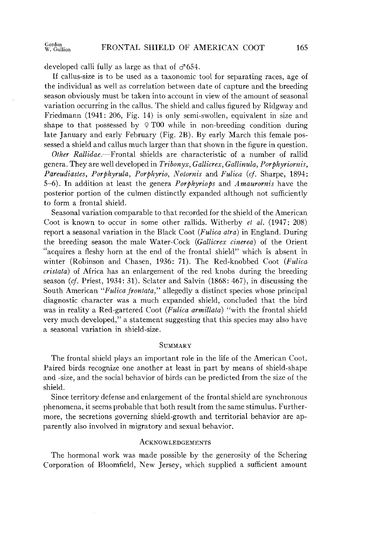developed calli fully as large as that of  $\sigma$ <sup>654</sup>.

Gordon<br>W. Gullion

**If callus-size is to be used as a taxonomic tool for separating races, age of the individual as well as correlation between date of capture and the breeding season obviously must be taken into account in view of the amount of seasonal variation occurring in the callus. The shield and callus figured by Ridgway and Friedmann (1941: 206, Fig. 14) is only semi-swollen, equivalent in size and**  shape to that possessed by  $\varphi$  TOO while in non-breeding condition during **late January and early February (Fig. 2B). By early March this female possessed a shield and callus much larger than that shown in the figure in question.** 

Other Rallidae.-Frontal shields are characteristic of a number of rallid **genera. They are well developed in Tribonyx, Gallicrex, Gallinula, Porphyriornis,**  Pareudiastes, Porphyrula, Porphyrio, Notornis and Fulica (cf. Sharpe, 1894: **S-6). In addition at least the genera Porphyriops and Amaurornis have the posterior portion of the culmen distinctly expanded although not sufficiently to form a frontal shield.** 

**Seasonal variation comparable to that recorded for the shield of the American Coot is known to occur in some other rallids. Witherby el al. (1947: 208) report a seasonal variation in the Black Coot (Fulica atra) in England. During the breeding season the male Water-Cock (Gallicrex cinerea) of the Orient "acquires a fleshy horn at the end of the frontal shield" which is absent in winter (Robinson and Chasen, 1936: 71). The Red-knobbed Coot (Fulica cristata) of Africa has an enlargement of the red knobs during the breeding season (cf. Priest, 1934: 31). &later and Salvin (1868: 467), in discussing the South American "Fulica frontata," allegedly a distinct species whose principal diagnostic character was a much expanded shield, concluded that the bird was in reality a Red-gartered Coot (Fulica armillata) "with the frontal shield very much developed," a statement suggesting that this species may also have a seasonal variation in shield-size.** 

### **SUMMARY**

**The frontal shield plays an important role in the life of the American Coot. Paired birds recognize one another at least in part by means of shield-shape and -size, and the social behavior of birds can be predicted from the size of the shield.** 

**Since territory defense and enlargement of the frontal shield are synchronous phenomena, it seems probable that both result from the same stimulus. Furthermore, the secretions governing shield-growth and territorial behavior are apparently also involved in migratory and sexual behavior.** 

### **ACKNOWLEDGEMENTS**

**The hormonal work was made possible by the generosity of the Schering Corporation of Bloomfield, New Jersey, which supplied a sufficient amount**